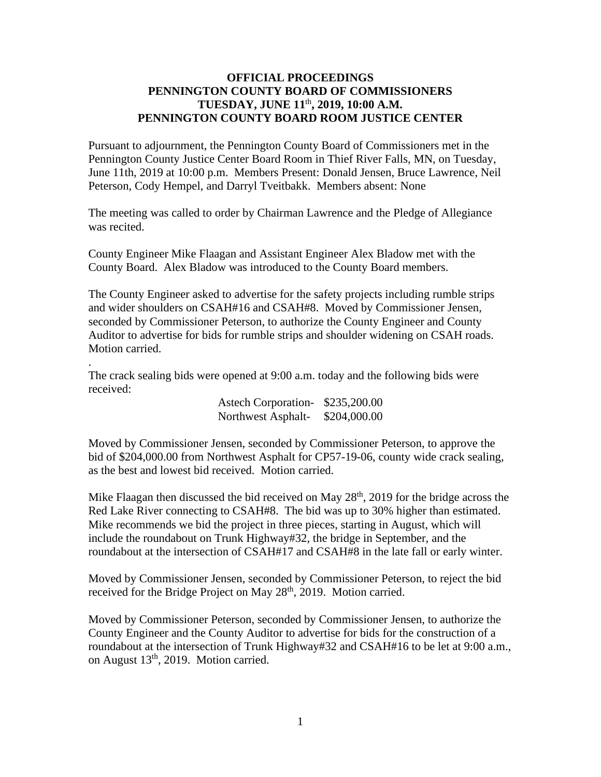## **OFFICIAL PROCEEDINGS PENNINGTON COUNTY BOARD OF COMMISSIONERS TUESDAY, JUNE 11** th **, 2019, 10:00 A.M. PENNINGTON COUNTY BOARD ROOM JUSTICE CENTER**

Pursuant to adjournment, the Pennington County Board of Commissioners met in the Pennington County Justice Center Board Room in Thief River Falls, MN, on Tuesday, June 11th, 2019 at 10:00 p.m. Members Present: Donald Jensen, Bruce Lawrence, Neil Peterson, Cody Hempel, and Darryl Tveitbakk. Members absent: None

The meeting was called to order by Chairman Lawrence and the Pledge of Allegiance was recited.

County Engineer Mike Flaagan and Assistant Engineer Alex Bladow met with the County Board. Alex Bladow was introduced to the County Board members.

The County Engineer asked to advertise for the safety projects including rumble strips and wider shoulders on CSAH#16 and CSAH#8. Moved by Commissioner Jensen, seconded by Commissioner Peterson, to authorize the County Engineer and County Auditor to advertise for bids for rumble strips and shoulder widening on CSAH roads. Motion carried.

The crack sealing bids were opened at 9:00 a.m. today and the following bids were received:

.

Astech Corporation- \$235,200.00 Northwest Asphalt- \$204,000.00

Moved by Commissioner Jensen, seconded by Commissioner Peterson, to approve the bid of \$204,000.00 from Northwest Asphalt for CP57-19-06, county wide crack sealing, as the best and lowest bid received. Motion carried.

Mike Flaagan then discussed the bid received on May  $28<sup>th</sup>$ , 2019 for the bridge across the Red Lake River connecting to CSAH#8. The bid was up to 30% higher than estimated. Mike recommends we bid the project in three pieces, starting in August, which will include the roundabout on Trunk Highway#32, the bridge in September, and the roundabout at the intersection of CSAH#17 and CSAH#8 in the late fall or early winter.

Moved by Commissioner Jensen, seconded by Commissioner Peterson, to reject the bid received for the Bridge Project on May  $28<sup>th</sup>$ , 2019. Motion carried.

Moved by Commissioner Peterson, seconded by Commissioner Jensen, to authorize the County Engineer and the County Auditor to advertise for bids for the construction of a roundabout at the intersection of Trunk Highway#32 and CSAH#16 to be let at 9:00 a.m., on August 13<sup>th</sup>, 2019. Motion carried.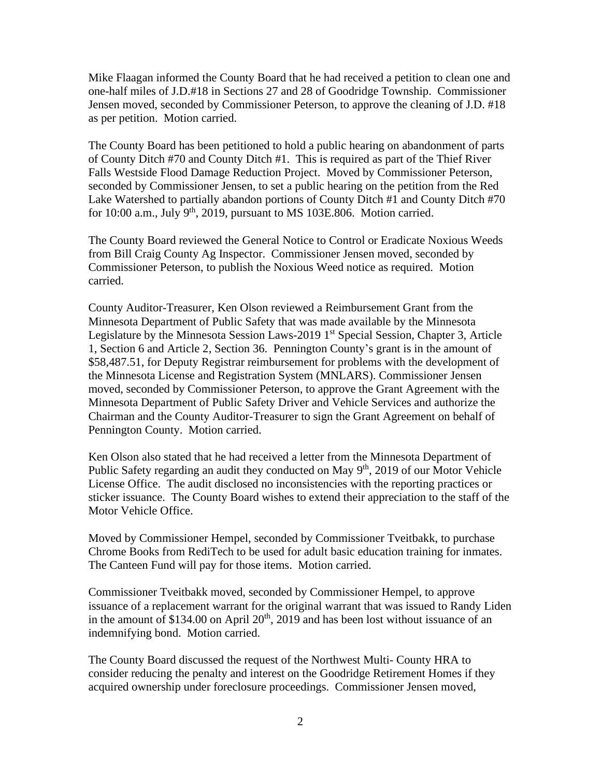Mike Flaagan informed the County Board that he had received a petition to clean one and one-half miles of J.D.#18 in Sections 27 and 28 of Goodridge Township. Commissioner Jensen moved, seconded by Commissioner Peterson, to approve the cleaning of J.D. #18 as per petition. Motion carried.

The County Board has been petitioned to hold a public hearing on abandonment of parts of County Ditch #70 and County Ditch #1. This is required as part of the Thief River Falls Westside Flood Damage Reduction Project. Moved by Commissioner Peterson, seconded by Commissioner Jensen, to set a public hearing on the petition from the Red Lake Watershed to partially abandon portions of County Ditch #1 and County Ditch #70 for 10:00 a.m., July  $9<sup>th</sup>$ , 2019, pursuant to MS 103E.806. Motion carried.

The County Board reviewed the General Notice to Control or Eradicate Noxious Weeds from Bill Craig County Ag Inspector. Commissioner Jensen moved, seconded by Commissioner Peterson, to publish the Noxious Weed notice as required. Motion carried.

County Auditor-Treasurer, Ken Olson reviewed a Reimbursement Grant from the Minnesota Department of Public Safety that was made available by the Minnesota Legislature by the Minnesota Session Laws-2019  $1<sup>st</sup>$  Special Session, Chapter 3, Article 1, Section 6 and Article 2, Section 36. Pennington County's grant is in the amount of \$58,487.51, for Deputy Registrar reimbursement for problems with the development of the Minnesota License and Registration System (MNLARS). Commissioner Jensen moved, seconded by Commissioner Peterson, to approve the Grant Agreement with the Minnesota Department of Public Safety Driver and Vehicle Services and authorize the Chairman and the County Auditor-Treasurer to sign the Grant Agreement on behalf of Pennington County. Motion carried.

Ken Olson also stated that he had received a letter from the Minnesota Department of Public Safety regarding an audit they conducted on May 9<sup>th</sup>, 2019 of our Motor Vehicle License Office. The audit disclosed no inconsistencies with the reporting practices or sticker issuance. The County Board wishes to extend their appreciation to the staff of the Motor Vehicle Office.

Moved by Commissioner Hempel, seconded by Commissioner Tveitbakk, to purchase Chrome Books from RediTech to be used for adult basic education training for inmates. The Canteen Fund will pay for those items. Motion carried.

Commissioner Tveitbakk moved, seconded by Commissioner Hempel, to approve issuance of a replacement warrant for the original warrant that was issued to Randy Liden in the amount of \$134.00 on April  $20<sup>th</sup>$ , 2019 and has been lost without issuance of an indemnifying bond. Motion carried.

The County Board discussed the request of the Northwest Multi- County HRA to consider reducing the penalty and interest on the Goodridge Retirement Homes if they acquired ownership under foreclosure proceedings. Commissioner Jensen moved,